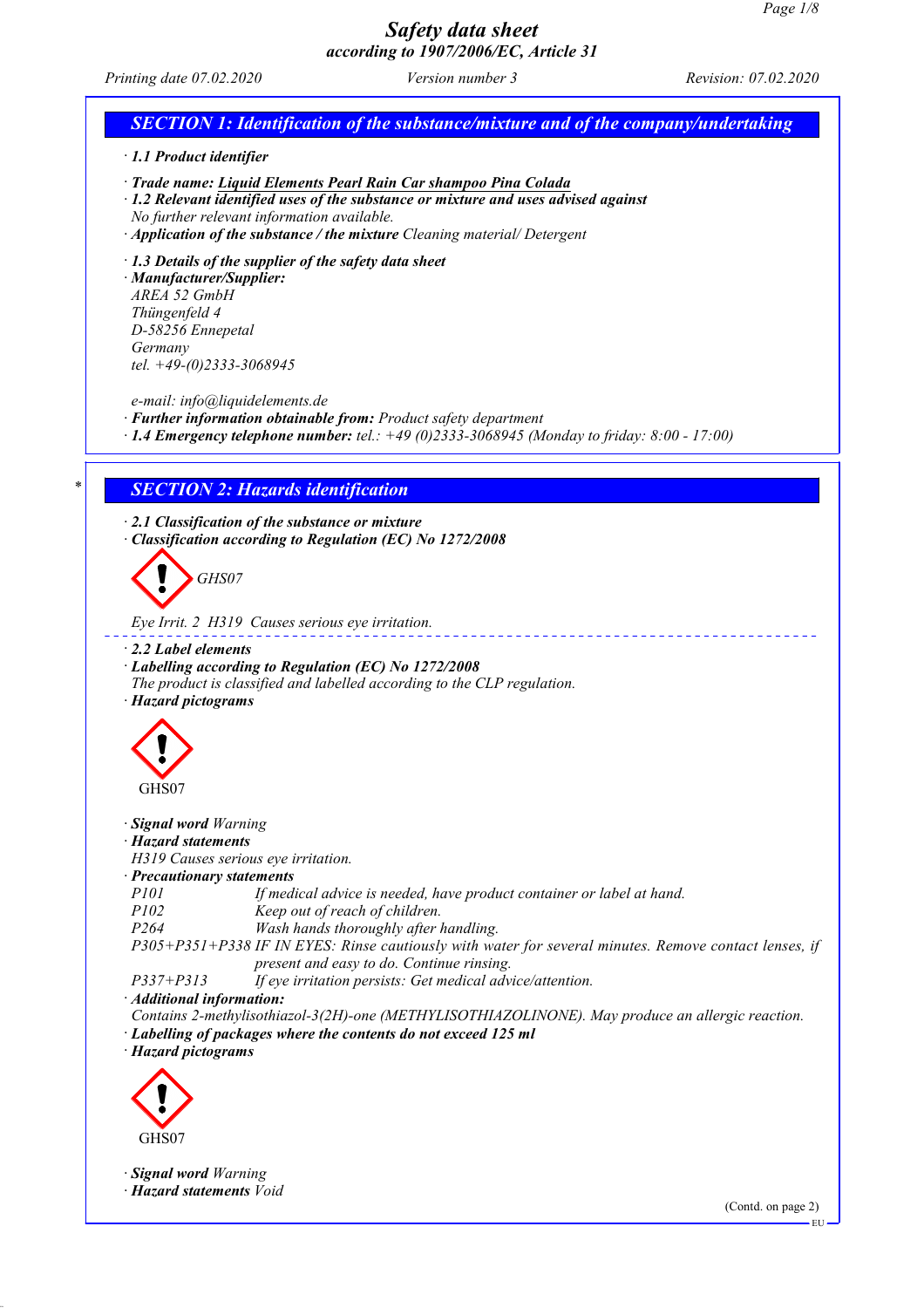# *Safety data sheet*

## *according to 1907/2006/EC, Article 31 Printing date 07.02.2020 Version number 3 Revision: 07.02.2020 SECTION 1: Identification of the substance/mixture and of the company/undertaking · 1.1 Product identifier · Trade name: Liquid Elements Pearl Rain Car shampoo Pina Colada · 1.2 Relevant identified uses of the substance or mixture and uses advised against No further relevant information available. · Application of the substance / the mixture Cleaning material/ Detergent · 1.3 Details of the supplier of the safety data sheet · Manufacturer/Supplier: AREA 52 GmbH Thüngenfeld 4 D-58256 Ennepetal Germany tel. +49-(0)2333-3068945 e-mail: info@liquidelements.de · Further information obtainable from: Product safety department · 1.4 Emergency telephone number: tel.: +49 (0)2333-3068945 (Monday to friday: 8:00 - 17:00) \* SECTION 2: Hazards identification · 2.1 Classification of the substance or mixture · Classification according to Regulation (EC) No 1272/2008 GHS07 Eye Irrit. 2 H319 Causes serious eye irritation. · 2.2 Label elements · Labelling according to Regulation (EC) No 1272/2008 The product is classified and labelled according to the CLP regulation. · Hazard pictograms* GHS07 *· Signal word Warning · Hazard statements H319 Causes serious eye irritation. · Precautionary statements P101 If medical advice is needed, have product container or label at hand. P102 Keep out of reach of children. P264 Wash hands thoroughly after handling. P305+P351+P338 IF IN EYES: Rinse cautiously with water for several minutes. Remove contact lenses, if present and easy to do. Continue rinsing.*

*P337+P313 If eye irritation persists: Get medical advice/attention.*

*· Additional information:*

*Contains 2-methylisothiazol-3(2H)-one (METHYLISOTHIAZOLINONE). May produce an allergic reaction. · Labelling of packages where the contents do not exceed 125 ml*

*· Hazard pictograms*



*· Signal word Warning · Hazard statements Void*

(Contd. on page 2)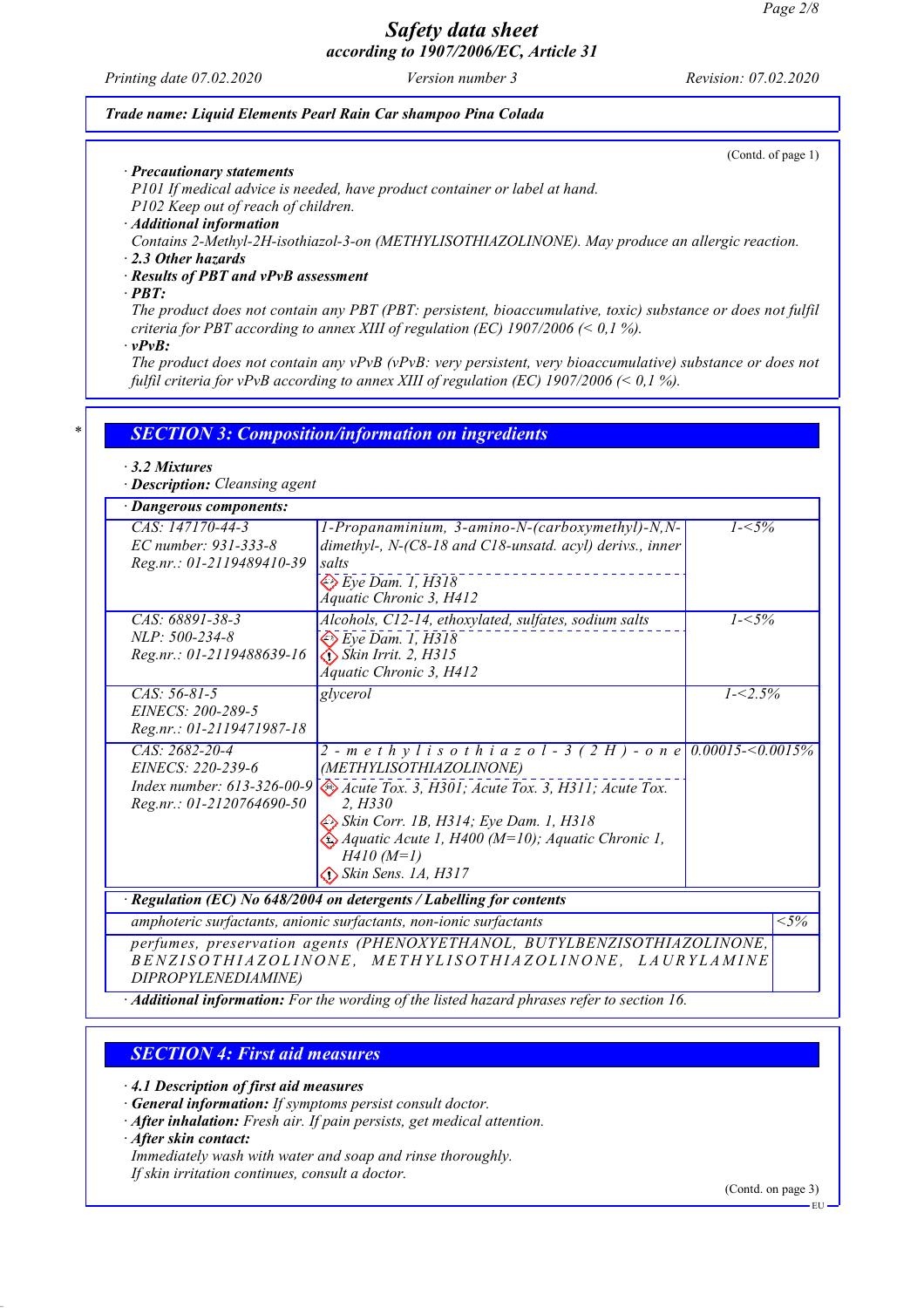*Printing date 07.02.2020 Version number 3 Revision: 07.02.2020*

#### *Trade name: Liquid Elements Pearl Rain Car shampoo Pina Colada*

(Contd. of page 1)

*· Precautionary statements*

*P101 If medical advice is needed, have product container or label at hand.*

*P102 Keep out of reach of children.*

*· Additional information*

*Contains 2-Methyl-2H-isothiazol-3-on (METHYLISOTHIAZOLINONE). May produce an allergic reaction.*

*· 2.3 Other hazards*

*· Results of PBT and vPvB assessment*

*· PBT:*

*The product does not contain any PBT (PBT: persistent, bioaccumulative, toxic) substance or does not fulfil criteria for PBT according to annex XIII of regulation (EC) 1907/2006 (< 0,1 %).*

*· vPvB:*

*The product does not contain any vPvB (vPvB: very persistent, very bioaccumulative) substance or does not fulfil criteria for vPvB according to annex XIII of regulation (EC) 1907/2006 (< 0,1 %).*

### *\* SECTION 3: Composition/information on ingredients*

#### *· 3.2 Mixtures*

*· Description: Cleansing agent*

| · Dangerous components:                                                                          |                                                                                                                                                                                                                                                                                                                                           |             |        |
|--------------------------------------------------------------------------------------------------|-------------------------------------------------------------------------------------------------------------------------------------------------------------------------------------------------------------------------------------------------------------------------------------------------------------------------------------------|-------------|--------|
| CAS: 147170-44-3<br>EC number: 931-333-8<br>Reg.nr.: 01-2119489410-39                            | 1-Propanaminium, 3-amino-N-(carboxymethyl)-N,N-<br>dimethyl-, N-(C8-18 and C18-unsatd. acyl) derivs., inner<br>salts<br>$\bigotimes E$ ye Dam. 1, H318<br>Áquatic Chronic 3, H412                                                                                                                                                         | $1 - 5\%$   |        |
| CAS: 68891-38-3<br>NLP: 500-234-8<br>Reg.nr.: 01-2119488639-16                                   | Alcohols, C12-14, ethoxylated, sulfates, sodium salts<br>$\Leftrightarrow$ Eye Dam. 1, H318<br>$\bigotimes$ Skin Irrit. 2, H315<br>Áquatic Chronic 3, H412                                                                                                                                                                                | $1 - 5\%$   |        |
| $CAS: 56-81-5$<br>EINECS: 200-289-5<br>Reg.nr.: 01-2119471987-18                                 | glycerol                                                                                                                                                                                                                                                                                                                                  | $1 - 2.5\%$ |        |
| CAS: 2682-20-4<br>EINECS: 220-239-6<br>Index number: $613-326-00-9$<br>Reg.nr.: 01-2120764690-50 | 2 - m e t h y l i s o t h i a z o l - 3 (2 H) - o n e 0.00015-<0.0015%<br>(METHYLISOTHIAZOLINONE)<br>Acute Tox. 3, H301; Acute Tox. 3, H311; Acute Tox.<br>2. H330<br>Skin Corr. 1B, H314; Eye Dam. 1, H318<br>$\hat{\triangle}$ Aquatic Acute 1, H400 (M=10); Aquatic Chronic 1,<br>$H410(M=1)$<br>$\Leftrightarrow$ Skin Sens. 1A, H317 |             |        |
|                                                                                                  | $\cdot$ Regulation (EC) No 648/2004 on detergents / Labelling for contents                                                                                                                                                                                                                                                                |             |        |
|                                                                                                  | amphoteric surfactants, anionic surfactants, non-ionic surfactants                                                                                                                                                                                                                                                                        |             | $<$ 5% |
| DIPROPYLENEDIAMINE)                                                                              | perfumes, preservation agents (PHENOXYETHANOL, BUTYLBENZISOTHIAZOLINONE,<br>BENZISOTHIAZOLINONE, METHYLISOTHIAZOLINONE, LAURYLAMINE                                                                                                                                                                                                       |             |        |

*· Additional information: For the wording of the listed hazard phrases refer to section 16.*

### *SECTION 4: First aid measures*

*· 4.1 Description of first aid measures*

*· General information: If symptoms persist consult doctor.*

*· After inhalation: Fresh air. If pain persists, get medical attention.*

*· After skin contact:*

*Immediately wash with water and soap and rinse thoroughly.*

*If skin irritation continues, consult a doctor.*

(Contd. on page 3)

EU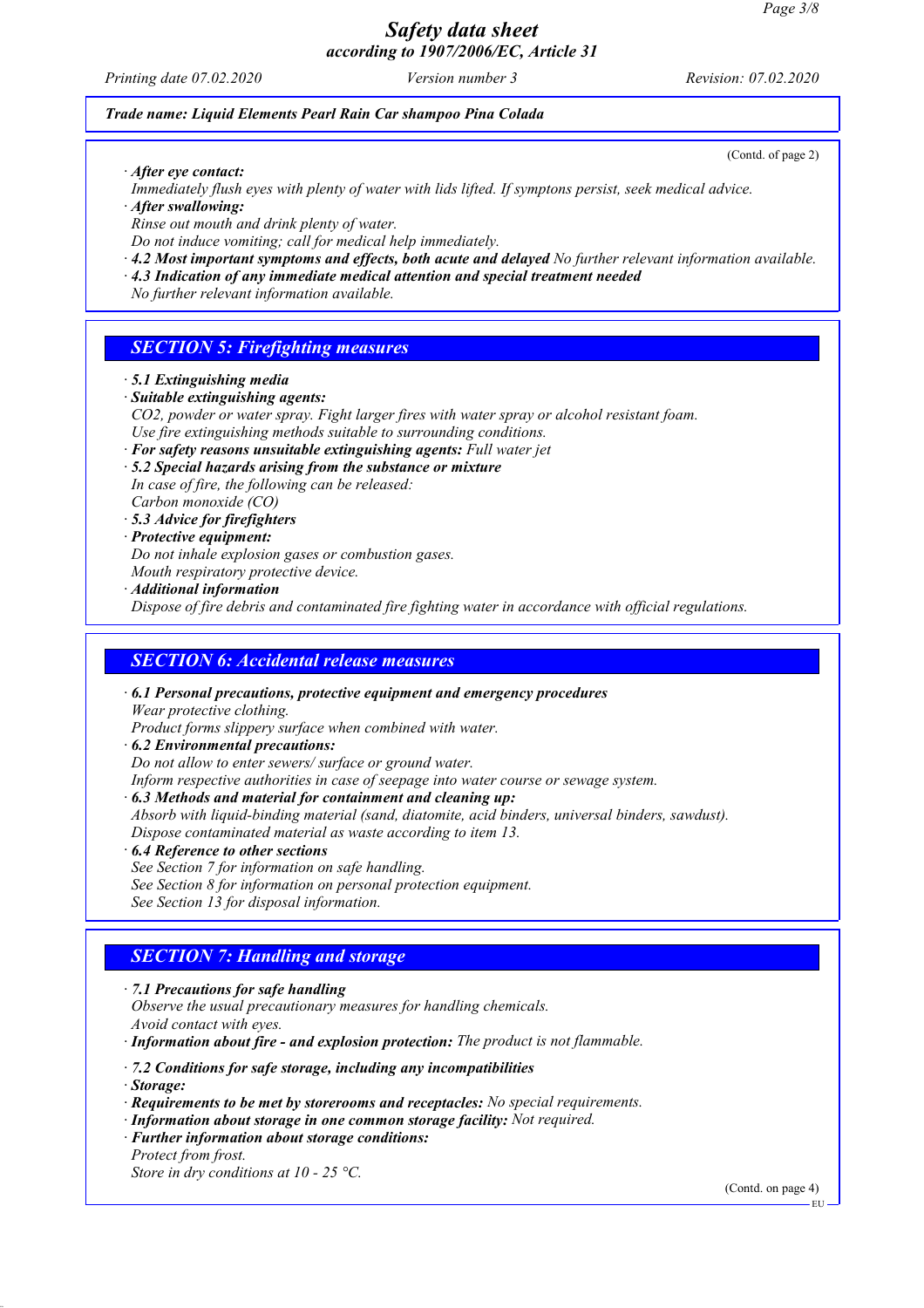*Printing date 07.02.2020 Version number 3 Revision: 07.02.2020*

#### *Trade name: Liquid Elements Pearl Rain Car shampoo Pina Colada*

(Contd. of page 2)

- *· After eye contact:*
- *Immediately flush eyes with plenty of water with lids lifted. If symptons persist, seek medical advice.*
- *· After swallowing:*
- *Rinse out mouth and drink plenty of water.*
- *Do not induce vomiting; call for medical help immediately.*
- *· 4.2 Most important symptoms and effects, both acute and delayed No further relevant information available.*
- *· 4.3 Indication of any immediate medical attention and special treatment needed*

*No further relevant information available.*

### *SECTION 5: Firefighting measures*

- *· 5.1 Extinguishing media*
- *· Suitable extinguishing agents:*
- *CO2, powder or water spray. Fight larger fires with water spray or alcohol resistant foam. Use fire extinguishing methods suitable to surrounding conditions.*
- *· For safety reasons unsuitable extinguishing agents: Full water jet*
- *· 5.2 Special hazards arising from the substance or mixture In case of fire, the following can be released: Carbon monoxide (CO)*
- *· 5.3 Advice for firefighters*
- *· Protective equipment:*
- *Do not inhale explosion gases or combustion gases.*
- *Mouth respiratory protective device.*
- *· Additional information*

*Dispose of fire debris and contaminated fire fighting water in accordance with official regulations.*

### *SECTION 6: Accidental release measures*

*· 6.1 Personal precautions, protective equipment and emergency procedures Wear protective clothing.*

*Product forms slippery surface when combined with water.*

- *· 6.2 Environmental precautions:*
- *Do not allow to enter sewers/ surface or ground water.*

*Inform respective authorities in case of seepage into water course or sewage system.*

- *· 6.3 Methods and material for containment and cleaning up:*
- *Absorb with liquid-binding material (sand, diatomite, acid binders, universal binders, sawdust). Dispose contaminated material as waste according to item 13.*
- *· 6.4 Reference to other sections*
- *See Section 7 for information on safe handling.*
- *See Section 8 for information on personal protection equipment.*
- *See Section 13 for disposal information.*

### *SECTION 7: Handling and storage*

- *· 7.1 Precautions for safe handling Observe the usual precautionary measures for handling chemicals. Avoid contact with eyes.*
- *· Information about fire and explosion protection: The product is not flammable.*
- *· 7.2 Conditions for safe storage, including any incompatibilities*
- *· Storage:*
- *· Requirements to be met by storerooms and receptacles: No special requirements.*
- *· Information about storage in one common storage facility: Not required.*
- *· Further information about storage conditions:*
- *Protect from frost.*

*Store in dry conditions at 10 - 25 °C.*

(Contd. on page 4)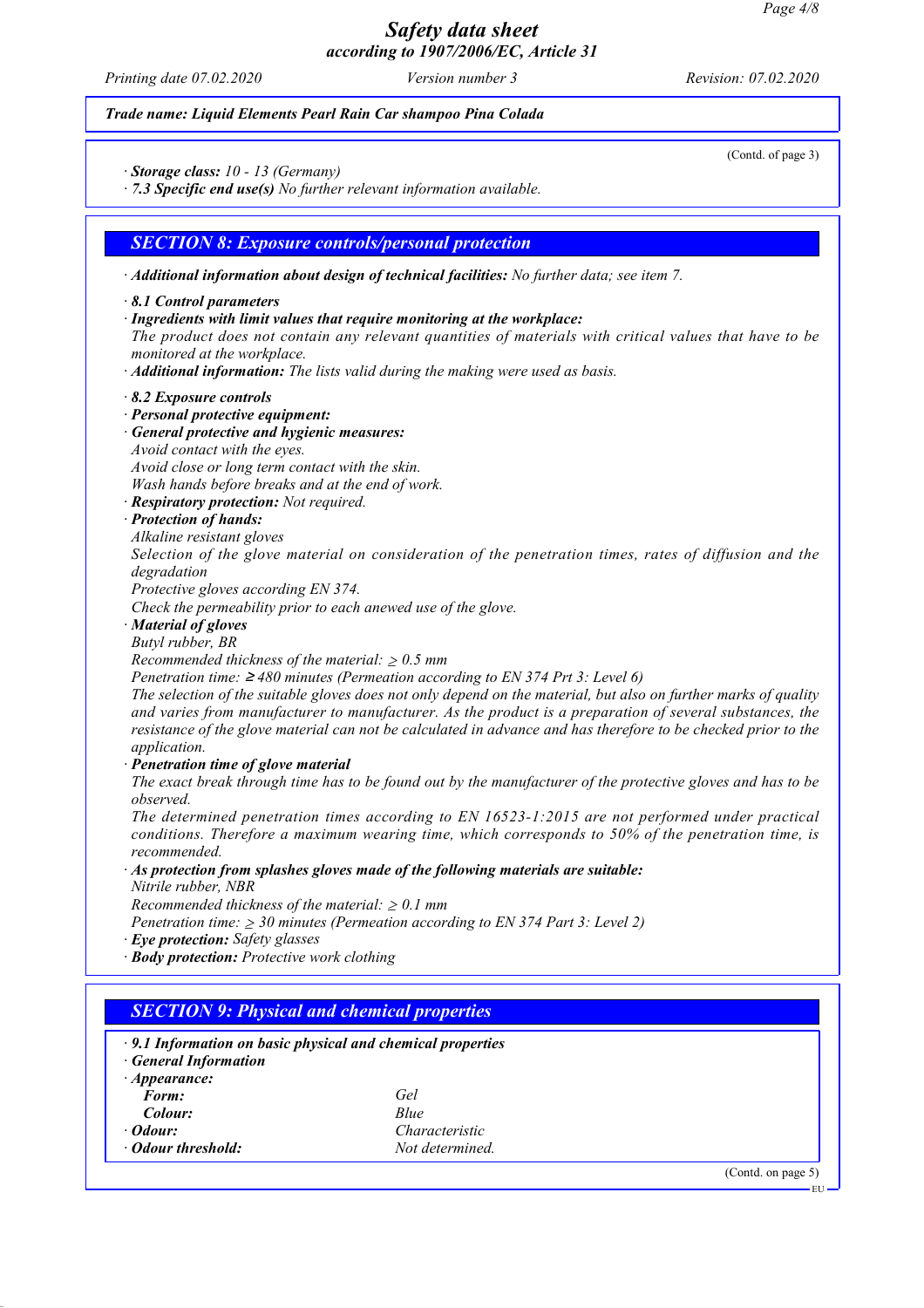*Printing date 07.02.2020 Version number 3 Revision: 07.02.2020*

*Trade name: Liquid Elements Pearl Rain Car shampoo Pina Colada*

(Contd. of page 3)

*· Storage class: 10 - 13 (Germany)*

*· 7.3 Specific end use(s) No further relevant information available.*

#### *SECTION 8: Exposure controls/personal protection*

*· Additional information about design of technical facilities: No further data; see item 7.*

#### *· 8.1 Control parameters*

#### *· Ingredients with limit values that require monitoring at the workplace:*

*The product does not contain any relevant quantities of materials with critical values that have to be monitored at the workplace.*

*· Additional information: The lists valid during the making were used as basis.*

- *· 8.2 Exposure controls*
- *· Personal protective equipment:*
- *· General protective and hygienic measures:*
- *Avoid contact with the eyes.*

*Avoid close or long term contact with the skin.*

*Wash hands before breaks and at the end of work.*

*· Respiratory protection: Not required.*

#### *· Protection of hands:*

*Alkaline resistant gloves*

*Selection of the glove material on consideration of the penetration times, rates of diffusion and the degradation*

*Protective gloves according EN 374.*

*Check the permeability prior to each anewed use of the glove.*

- *· Material of gloves*
- *Butyl rubber, BR*

*Recommended thickness of the material:* ≥ *0.5 mm*

*Penetration time:* ≥ *480 minutes (Permeation according to EN 374 Prt 3: Level 6)*

*The selection of the suitable gloves does not only depend on the material, but also on further marks of quality and varies from manufacturer to manufacturer. As the product is a preparation of several substances, the resistance of the glove material can not be calculated in advance and has therefore to be checked prior to the application.*

*· Penetration time of glove material*

*The exact break through time has to be found out by the manufacturer of the protective gloves and has to be observed.*

*The determined penetration times according to EN 16523-1:2015 are not performed under practical conditions. Therefore a maximum wearing time, which corresponds to 50% of the penetration time, is recommended.*

*· As protection from splashes gloves made of the following materials are suitable:*

*Nitrile rubber, NBR*

*Recommended thickness of the material:* ≥ *0.1 mm*

*Penetration time:* ≥ *30 minutes (Permeation according to EN 374 Part 3: Level 2)*

- *· Eye protection: Safety glasses*
- *· Body protection: Protective work clothing*

| $\cdot$ 9.1 Information on basic physical and chemical properties |                 |  |
|-------------------------------------------------------------------|-----------------|--|
| <b>General Information</b>                                        |                 |  |
| $\cdot$ Appearance:                                               |                 |  |
| Form:                                                             | Gel             |  |
| Colour:                                                           | Blue            |  |
| $\cdot$ Odour:                                                    | Characteristic  |  |
| · Odour threshold:                                                | Not determined. |  |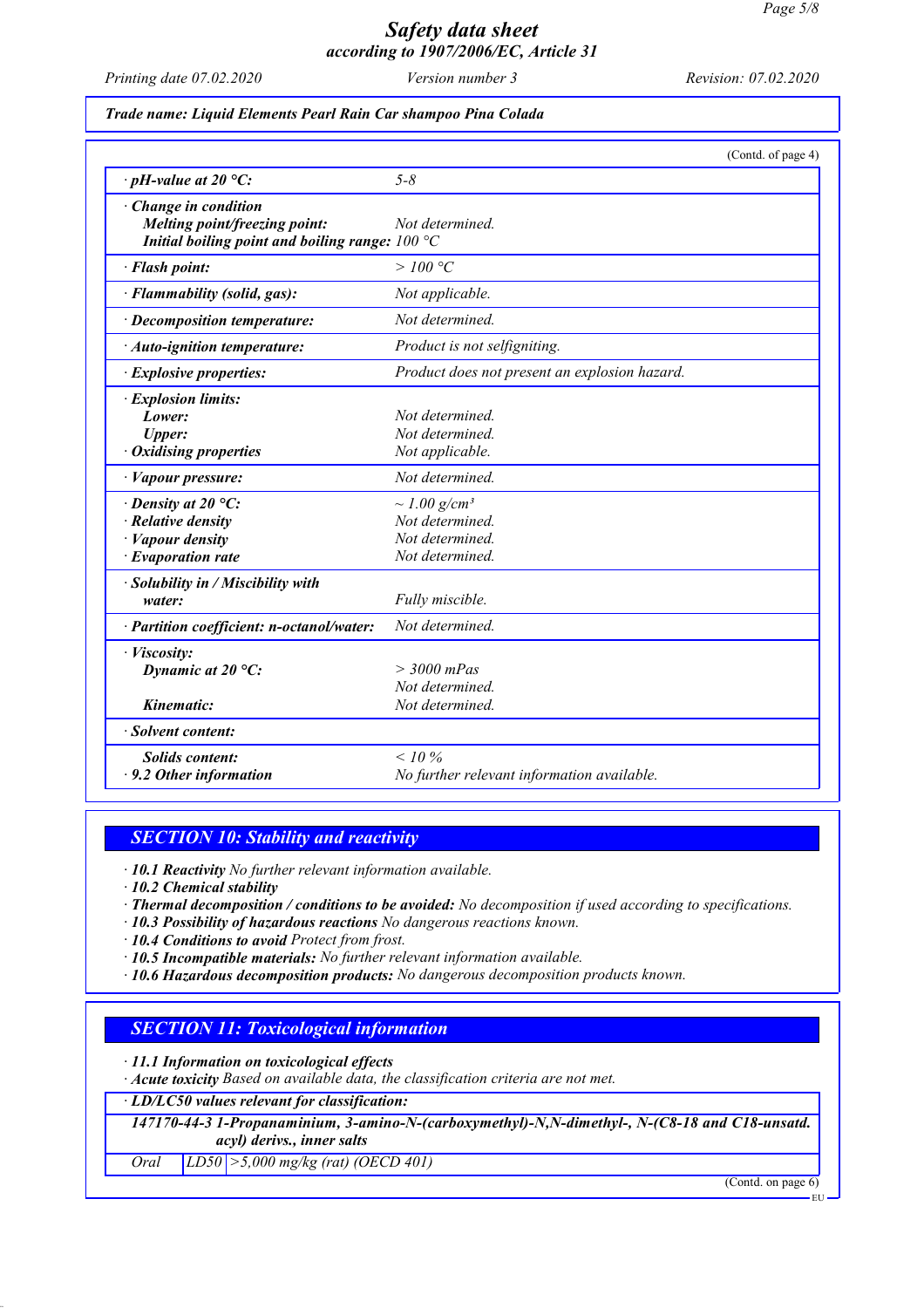*Printing date 07.02.2020 Version number 3 Revision: 07.02.2020*

#### *Trade name: Liquid Elements Pearl Rain Car shampoo Pina Colada*

|                                                   | (Contd. of page 4)                            |
|---------------------------------------------------|-----------------------------------------------|
| $\cdot$ pH-value at 20 °C:                        | $5 - 8$                                       |
| · Change in condition                             |                                               |
| Melting point/freezing point:                     | Not determined.                               |
| Initial boiling point and boiling range: $100 °C$ |                                               |
| · Flash point:                                    | >100 °C                                       |
| · Flammability (solid, gas):                      | Not applicable.                               |
| · Decomposition temperature:                      | Not determined.                               |
| · Auto-ignition temperature:                      | Product is not selfigniting.                  |
| · Explosive properties:                           | Product does not present an explosion hazard. |
| · Explosion limits:                               |                                               |
| Lower:                                            | Not determined.                               |
| <b>Upper:</b>                                     | Not determined.                               |
| $\cdot$ Oxidising properties                      | Not applicable.                               |
| · Vapour pressure:                                | Not determined.                               |
| $\cdot$ Density at 20 °C:                         | $\sim$ 1.00 g/cm <sup>3</sup>                 |
| $\cdot$ Relative density                          | Not determined.                               |
| · Vapour density                                  | Not determined.                               |
| $\cdot$ Evaporation rate                          | Not determined.                               |
| · Solubility in / Miscibility with                |                                               |
| water:                                            | Fully miscible.                               |
| · Partition coefficient: n-octanol/water:         | Not determined.                               |
| · Viscosity:                                      |                                               |
| Dynamic at $20^{\circ}$ C:                        | $> 3000$ mPas                                 |
|                                                   | Not determined.                               |
| Kinematic:                                        | Not determined.                               |
| · Solvent content:                                |                                               |
| <b>Solids content:</b>                            | $< 10\%$                                      |
| $\cdot$ 9.2 Other information                     | No further relevant information available.    |
|                                                   |                                               |

### *SECTION 10: Stability and reactivity*

*· 10.1 Reactivity No further relevant information available.*

*· 10.2 Chemical stability*

- *· Thermal decomposition / conditions to be avoided: No decomposition if used according to specifications.*
- *· 10.3 Possibility of hazardous reactions No dangerous reactions known.*

*· 10.4 Conditions to avoid Protect from frost.*

*· 10.5 Incompatible materials: No further relevant information available.*

*· 10.6 Hazardous decomposition products: No dangerous decomposition products known.*

### *SECTION 11: Toxicological information*

*· 11.1 Information on toxicological effects*

*· Acute toxicity Based on available data, the classification criteria are not met.*

*· LD/LC50 values relevant for classification:*

*147170-44-3 1-Propanaminium, 3-amino-N-(carboxymethyl)-N,N-dimethyl-, N-(C8-18 and C18-unsatd. acyl) derivs., inner salts*

*Oral LD50 >5,000 mg/kg (rat) (OECD 401)*

(Contd. on page 6)

EU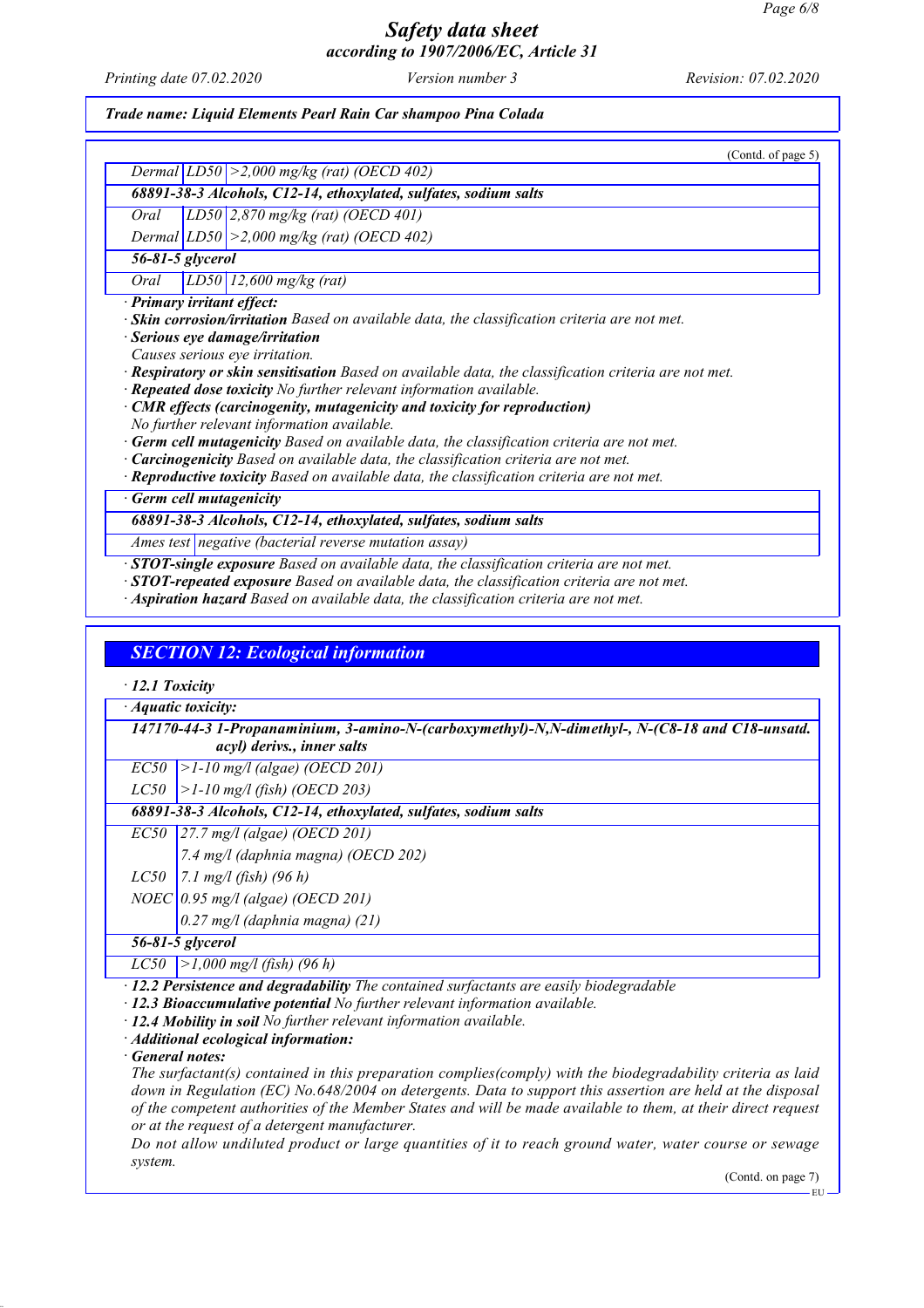*Printing date 07.02.2020 Version number 3 Revision: 07.02.2020*

*Trade name: Liquid Elements Pearl Rain Car shampoo Pina Colada*

(Contd. of page 5) *Dermal LD50 >2,000 mg/kg (rat) (OECD 402) 68891-38-3 Alcohols, C12-14, ethoxylated, sulfates, sodium salts Oral LD50 2,870 mg/kg (rat) (OECD 401) Dermal LD50 >2,000 mg/kg (rat) (OECD 402) 56-81-5 glycerol Oral LD50 12,600 mg/kg (rat) · Primary irritant effect: · Skin corrosion/irritation Based on available data, the classification criteria are not met. · Serious eye damage/irritation Causes serious eye irritation. · Respiratory or skin sensitisation Based on available data, the classification criteria are not met. · Repeated dose toxicity No further relevant information available. · CMR effects (carcinogenity, mutagenicity and toxicity for reproduction) No further relevant information available. · Germ cell mutagenicity Based on available data, the classification criteria are not met. · Carcinogenicity Based on available data, the classification criteria are not met. · Reproductive toxicity Based on available data, the classification criteria are not met. Germ cell mutagenicity 68891-38-3 Alcohols, C12-14, ethoxylated, sulfates, sodium salts Ames test negative (bacterial reverse mutation assay) · STOT-single exposure Based on available data, the classification criteria are not met. · STOT-repeated exposure Based on available data, the classification criteria are not met. · Aspiration hazard Based on available data, the classification criteria are not met. SECTION 12: Ecological information · 12.1 Toxicity*

*· Aquatic toxicity:*

*147170-44-3 1-Propanaminium, 3-amino-N-(carboxymethyl)-N,N-dimethyl-, N-(C8-18 and C18-unsatd. acyl) derivs., inner salts*

*EC50 >1-10 mg/l (algae) (OECD 201)*

*LC50 >1-10 mg/l (fish) (OECD 203)*

*68891-38-3 Alcohols, C12-14, ethoxylated, sulfates, sodium salts*

*EC50 27.7 mg/l (algae) (OECD 201)*

*7.4 mg/l (daphnia magna) (OECD 202)*

*LC50 7.1 mg/l (fish) (96 h)*

*NOEC 0.95 mg/l (algae) (OECD 201)*

*0.27 mg/l (daphnia magna) (21)*

*56-81-5 glycerol*

*LC50 >1,000 mg/l (fish) (96 h)*

*· 12.2 Persistence and degradability The contained surfactants are easily biodegradable*

*· 12.3 Bioaccumulative potential No further relevant information available.*

*· 12.4 Mobility in soil No further relevant information available.*

*· Additional ecological information:*

*· General notes:*

*The surfactant(s) contained in this preparation complies(comply) with the biodegradability criteria as laid down in Regulation (EC) No.648/2004 on detergents. Data to support this assertion are held at the disposal of the competent authorities of the Member States and will be made available to them, at their direct request or at the request of a detergent manufacturer.*

*Do not allow undiluted product or large quantities of it to reach ground water, water course or sewage system.*

(Contd. on page 7)

EU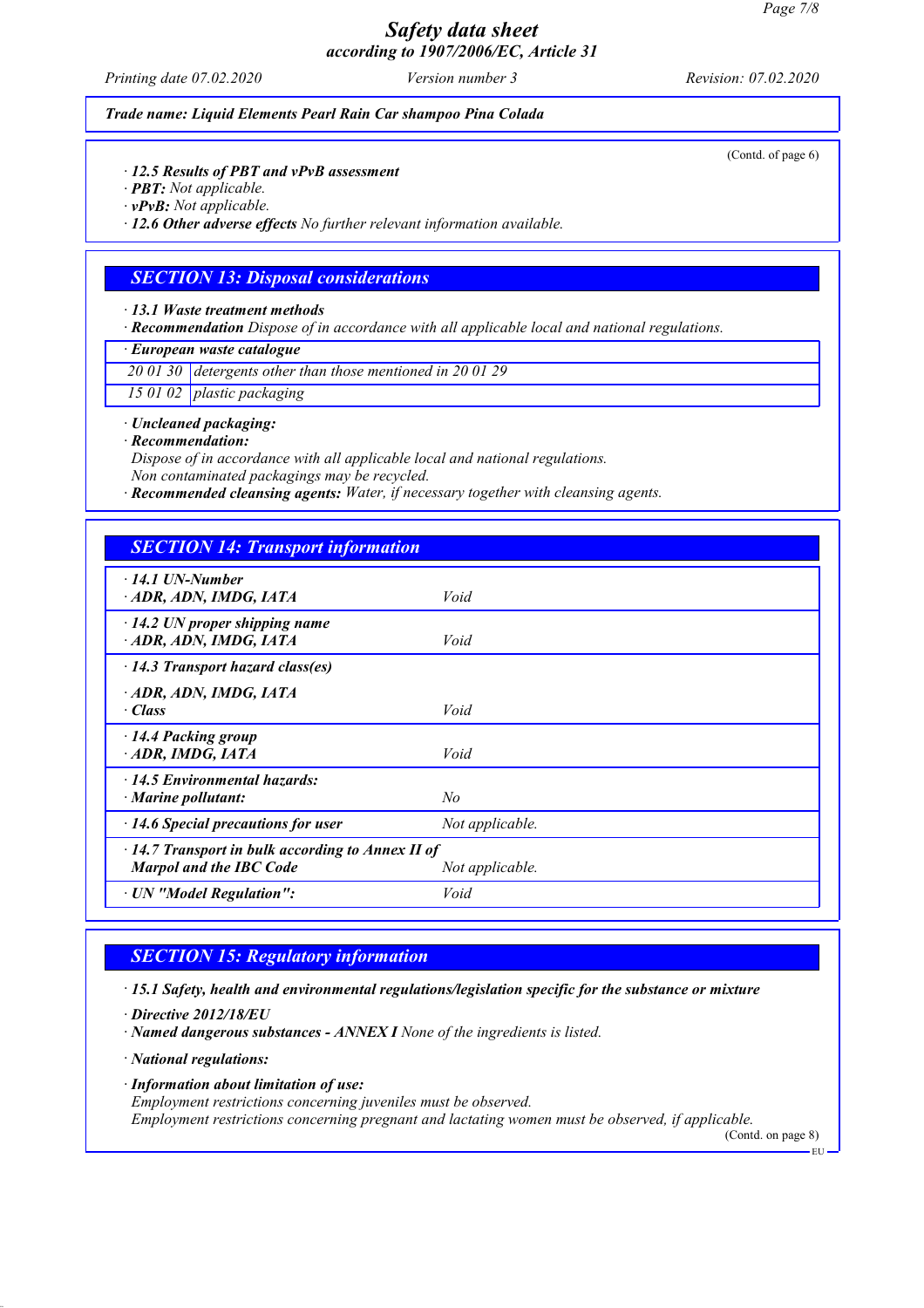*Printing date 07.02.2020 Version number 3 Revision: 07.02.2020*

(Contd. of page 6)

*Trade name: Liquid Elements Pearl Rain Car shampoo Pina Colada*

*· 12.5 Results of PBT and vPvB assessment*

*· PBT: Not applicable.*

*· vPvB: Not applicable.*

*· 12.6 Other adverse effects No further relevant information available.*

### *SECTION 13: Disposal considerations*

*· 13.1 Waste treatment methods*

*· Recommendation Dispose of in accordance with all applicable local and national regulations.*

*· European waste catalogue*

*20 01 30 detergents other than those mentioned in 20 01 29*

*15 01 02 plastic packaging*

*· Uncleaned packaging:*

*· Recommendation:*

*Dispose of in accordance with all applicable local and national regulations. Non contaminated packagings may be recycled.*

*· Recommended cleansing agents: Water, if necessary together with cleansing agents.*

| <b>SECTION 14: Transport information</b>                                                                     |                 |  |
|--------------------------------------------------------------------------------------------------------------|-----------------|--|
| $\cdot$ 14.1 UN-Number<br>ADR, ADN, IMDG, IATA                                                               | Void            |  |
| $\cdot$ 14.2 UN proper shipping name<br>ADR, ADN, IMDG, IATA                                                 | Void            |  |
| $\cdot$ 14.3 Transport hazard class(es)                                                                      |                 |  |
| ADR, ADN, IMDG, IATA<br>$\cdot$ Class                                                                        | Void            |  |
| · 14.4 Packing group<br>ADR, IMDG, IATA                                                                      | Void            |  |
| $\cdot$ 14.5 Environmental hazards:<br>· Marine pollutant:                                                   | No              |  |
| $\cdot$ 14.6 Special precautions for user                                                                    | Not applicable. |  |
| $\cdot$ 14.7 Transport in bulk according to Annex II of<br><b>Marpol and the IBC Code</b><br>Not applicable. |                 |  |
| · UN "Model Regulation":                                                                                     | Void            |  |

### *SECTION 15: Regulatory information*

*· 15.1 Safety, health and environmental regulations/legislation specific for the substance or mixture*

*· Directive 2012/18/EU*

*· Named dangerous substances - ANNEX I None of the ingredients is listed.*

*· National regulations:*

*· Information about limitation of use:*

*Employment restrictions concerning juveniles must be observed.*

*Employment restrictions concerning pregnant and lactating women must be observed, if applicable.* (Contd. on page 8)

EU